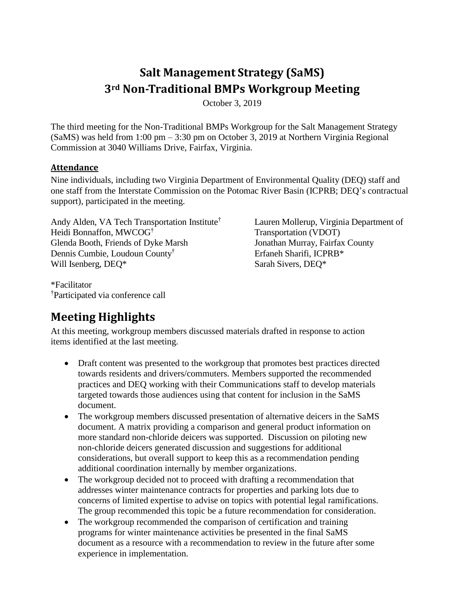# **Salt Management Strategy (SaMS) 3rd Non-Traditional BMPs Workgroup Meeting**

October 3, 2019

The third meeting for the Non-Traditional BMPs Workgroup for the Salt Management Strategy (SaMS) was held from 1:00 pm – 3:30 pm on October 3, 2019 at Northern Virginia Regional Commission at 3040 Williams Drive, Fairfax, Virginia.

#### **Attendance**

Nine individuals, including two Virginia Department of Environmental Quality (DEQ) staff and one staff from the Interstate Commission on the Potomac River Basin (ICPRB; DEQ's contractual support), participated in the meeting.

Andy Alden, VA Tech Transportation Institute† Heidi Bonnaffon, MWCOG† Glenda Booth, Friends of Dyke Marsh Dennis Cumbie, Loudoun County† Will Isenberg, DEQ\*

\*Facilitator †Participated via conference call Lauren Mollerup, Virginia Department of Transportation (VDOT) Jonathan Murray, Fairfax County Erfaneh Sharifi, ICPRB\* Sarah Sivers, DEQ\*

# **Meeting Highlights**

At this meeting, workgroup members discussed materials drafted in response to action items identified at the last meeting.

- Draft content was presented to the workgroup that promotes best practices directed towards residents and drivers/commuters. Members supported the recommended practices and DEQ working with their Communications staff to develop materials targeted towards those audiences using that content for inclusion in the SaMS document.
- The workgroup members discussed presentation of alternative deicers in the SaMS document. A matrix providing a comparison and general product information on more standard non-chloride deicers was supported. Discussion on piloting new non-chloride deicers generated discussion and suggestions for additional considerations, but overall support to keep this as a recommendation pending additional coordination internally by member organizations.
- The workgroup decided not to proceed with drafting a recommendation that addresses winter maintenance contracts for properties and parking lots due to concerns of limited expertise to advise on topics with potential legal ramifications. The group recommended this topic be a future recommendation for consideration.
- The workgroup recommended the comparison of certification and training programs for winter maintenance activities be presented in the final SaMS document as a resource with a recommendation to review in the future after some experience in implementation.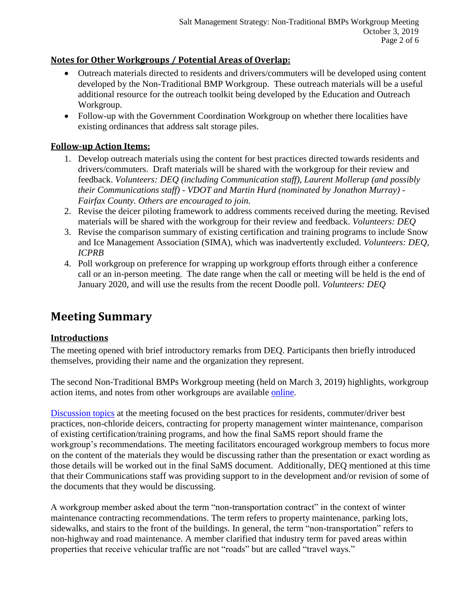# **Notes for Other Workgroups / Potential Areas of Overlap:**

- Outreach materials directed to residents and drivers/commuters will be developed using content developed by the Non-Traditional BMP Workgroup. These outreach materials will be a useful additional resource for the outreach toolkit being developed by the Education and Outreach Workgroup.
- Follow-up with the Government Coordination Workgroup on whether there localities have existing ordinances that address salt storage piles.

### **Follow-up Action Items:**

- 1. Develop outreach materials using the content for best practices directed towards residents and drivers/commuters. Draft materials will be shared with the workgroup for their review and feedback. *Volunteers: DEQ (including Communication staff), Laurent Mollerup (and possibly their Communications staff) - VDOT and Martin Hurd (nominated by Jonathon Murray) - Fairfax County. Others are encouraged to join.*
- 2. Revise the deicer piloting framework to address comments received during the meeting. Revised materials will be shared with the workgroup for their review and feedback. *Volunteers: DEQ*
- 3. Revise the comparison summary of existing certification and training programs to include Snow and Ice Management Association (SIMA), which was inadvertently excluded. *Volunteers: DEQ, ICPRB*
- 4. Poll workgroup on preference for wrapping up workgroup efforts through either a conference call or an in-person meeting. The date range when the call or meeting will be held is the end of January 2020, and will use the results from the recent Doodle poll. *Volunteers: DEQ*

# **Meeting Summary**

#### **Introductions**

The meeting opened with brief introductory remarks from DEQ. Participants then briefly introduced themselves, providing their name and the organization they represent.

The second Non-Traditional BMPs Workgroup meeting (held on March 3, 2019) highlights, workgroup action items, and notes from other workgroups are available [online.](https://www.deq.virginia.gov/SaMS/MeetingMaterials.aspx)

[Discussion topics](https://www.deq.virginia.gov/Portals/0/DEQ/Water/TMDL/SaMS/MeetingMaterials/NTBwg/Meeting3/SaMS_NTB_3rd_Mtg_Discussion_Guide_20191003.pdf) at the meeting focused on the best practices for residents, commuter/driver best practices, non-chloride deicers, contracting for property management winter maintenance, comparison of existing certification/training programs, and how the final SaMS report should frame the workgroup's recommendations. The meeting facilitators encouraged workgroup members to focus more on the content of the materials they would be discussing rather than the presentation or exact wording as those details will be worked out in the final SaMS document. Additionally, DEQ mentioned at this time that their Communications staff was providing support to in the development and/or revision of some of the documents that they would be discussing.

A workgroup member asked about the term "non-transportation contract" in the context of winter maintenance contracting recommendations. The term refers to property maintenance, parking lots, sidewalks, and stairs to the front of the buildings. In general, the term "non-transportation" refers to non-highway and road maintenance. A member clarified that industry term for paved areas within properties that receive vehicular traffic are not "roads" but are called "travel ways."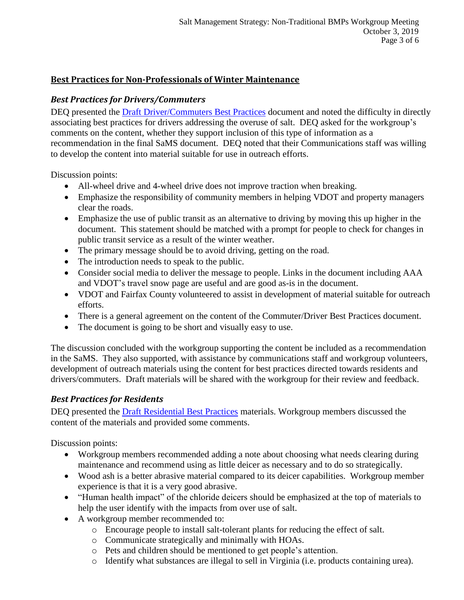### **Best Practices for Non-Professionals of Winter Maintenance**

### *Best Practices for Drivers/Commuters*

DEQ presented the [Draft Driver/Commuters Best Practices](https://www.deq.virginia.gov/Portals/0/DEQ/Water/TMDL/SaMS/MeetingMaterials/NTBwg/Meeting3/SaMS_NTB_Draft_Residential_BMPs_201909.zip) document and noted the difficulty in directly associating best practices for drivers addressing the overuse of salt. DEQ asked for the workgroup's comments on the content, whether they support inclusion of this type of information as a recommendation in the final SaMS document. DEQ noted that their Communications staff was willing to develop the content into material suitable for use in outreach efforts.

Discussion points:

- All-wheel drive and 4-wheel drive does not improve traction when breaking.
- Emphasize the responsibility of community members in helping VDOT and property managers clear the roads.
- Emphasize the use of public transit as an alternative to driving by moving this up higher in the document. This statement should be matched with a prompt for people to check for changes in public transit service as a result of the winter weather.
- The primary message should be to avoid driving, getting on the road.
- The introduction needs to speak to the public.
- Consider social media to deliver the message to people. Links in the document including AAA and VDOT's travel snow page are useful and are good as-is in the document.
- VDOT and Fairfax County volunteered to assist in development of material suitable for outreach efforts.
- There is a general agreement on the content of the Commuter/Driver Best Practices document.
- The document is going to be short and visually easy to use.

The discussion concluded with the workgroup supporting the content be included as a recommendation in the SaMS. They also supported, with assistance by communications staff and workgroup volunteers, development of outreach materials using the content for best practices directed towards residents and drivers/commuters. Draft materials will be shared with the workgroup for their review and feedback.

#### *Best Practices for Residents*

DEQ presented the **Draft Residential Best Practices** materials. Workgroup members discussed the content of the materials and provided some comments.

Discussion points:

- Workgroup members recommended adding a note about choosing what needs clearing during maintenance and recommend using as little deicer as necessary and to do so strategically.
- Wood ash is a better abrasive material compared to its deicer capabilities. Workgroup member experience is that it is a very good abrasive.
- "Human health impact" of the chloride deicers should be emphasized at the top of materials to help the user identify with the impacts from over use of salt.
- A workgroup member recommended to:
	- o Encourage people to install salt-tolerant plants for reducing the effect of salt.
	- o Communicate strategically and minimally with HOAs.
	- o Pets and children should be mentioned to get people's attention.
	- o Identify what substances are illegal to sell in Virginia (i.e. products containing urea).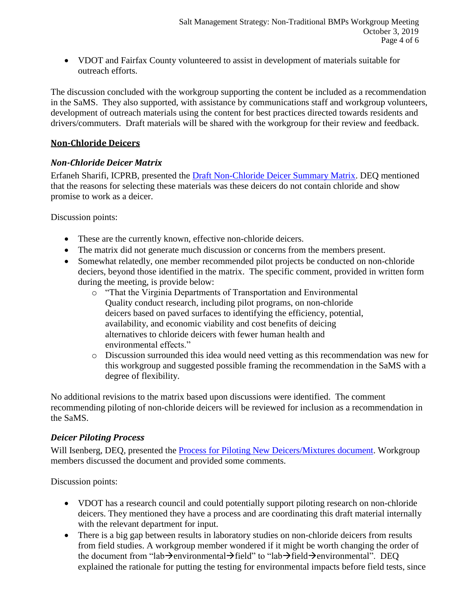VDOT and Fairfax County volunteered to assist in development of materials suitable for outreach efforts.

The discussion concluded with the workgroup supporting the content be included as a recommendation in the SaMS. They also supported, with assistance by communications staff and workgroup volunteers, development of outreach materials using the content for best practices directed towards residents and drivers/commuters. Draft materials will be shared with the workgroup for their review and feedback.

# **Non-Chloride Deicers**

# *Non-Chloride Deicer Matrix*

Erfaneh Sharifi, ICPRB, presented the [Draft Non-Chloride Deicer Summary Matrix.](https://www.deq.virginia.gov/Portals/0/DEQ/Water/TMDL/SaMS/MeetingMaterials/NTBwg/Meeting3/SaMS_NTB_DRAFT_NonChloride_Deicer_Matrix_20190920.pdf) DEQ mentioned that the reasons for selecting these materials was these deicers do not contain chloride and show promise to work as a deicer.

Discussion points:

- These are the currently known, effective non-chloride deicers.
- The matrix did not generate much discussion or concerns from the members present.
- Somewhat relatedly, one member recommended pilot projects be conducted on non-chloride deciers, beyond those identified in the matrix. The specific comment, provided in written form during the meeting, is provide below:
	- o "That the Virginia Departments of Transportation and Environmental Quality conduct research, including pilot programs, on non-chloride deicers based on paved surfaces to identifying the efficiency, potential, availability, and economic viability and cost benefits of deicing alternatives to chloride deicers with fewer human health and environmental effects."
	- o Discussion surrounded this idea would need vetting as this recommendation was new for this workgroup and suggested possible framing the recommendation in the SaMS with a degree of flexibility.

No additional revisions to the matrix based upon discussions were identified. The comment recommending piloting of non-chloride deicers will be reviewed for inclusion as a recommendation in the SaMS.

# *Deicer Piloting Process*

Will Isenberg, DEQ, presented the [Process for Piloting New Deicers/Mixtures](https://www.deq.virginia.gov/Portals/0/DEQ/Water/TMDL/SaMS/MeetingMaterials/NTBwg/Meeting3/SaMS_NTB_DRAFT_ProcessForPilotingNewCompoundsorMixtures_20190605.pdf) document. Workgroup members discussed the document and provided some comments.

Discussion points:

- VDOT has a research council and could potentially support piloting research on non-chloride deicers. They mentioned they have a process and are coordinating this draft material internally with the relevant department for input.
- There is a big gap between results in laboratory studies on non-chloride deicers from results from field studies. A workgroup member wondered if it might be worth changing the order of the document from "lab $\rightarrow$ environmental $\rightarrow$ field" to "lab $\rightarrow$ field $\rightarrow$ environmental". DEQ explained the rationale for putting the testing for environmental impacts before field tests, since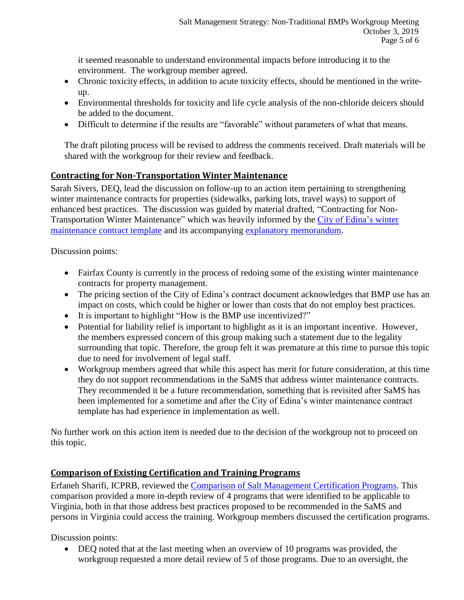it seemed reasonable to understand environmental impacts before introducing it to the environment. The workgroup member agreed.

- Chronic toxicity effects, in addition to acute toxicity effects, should be mentioned in the writeup.
- Environmental thresholds for toxicity and life cycle analysis of the non-chloride deicers should be added to the document.
- Difficult to determine if the results are "favorable" without parameters of what that means.

The draft piloting process will be revised to address the comments received. Draft materials will be shared with the workgroup for their review and feedback.

# **Contracting for Non-Transportation Winter Maintenance**

Sarah Sivers, DEQ, lead the discussion on follow-up to an action item pertaining to strengthening winter maintenance contracts for properties (sidewalks, parking lots, travel ways) to support of enhanced best practices. The discussion was guided by material drafted, "Contracting for Non-Transportation Winter Maintenance" which was heavily informed by the [City of Edina's winter](https://www.edinamn.gov/DocumentCenter/View/5664/Model-Contract-for-snow-and-ice-management?bidId=)  [maintenance contract](https://www.edinamn.gov/DocumentCenter/View/5664/Model-Contract-for-snow-and-ice-management?bidId=) template and its accompanying [explanatory memorandum.](https://www.edinamn.gov/DocumentCenter/View/5666/Explanatory-Memo---Model-Contract-for-snow-and-ice-management?bidId=)

Discussion points:

- Fairfax County is currently in the process of redoing some of the existing winter maintenance contracts for property management.
- The pricing section of the City of Edina's contract document acknowledges that BMP use has an impact on costs, which could be higher or lower than costs that do not employ best practices.
- It is important to highlight "How is the BMP use incentivized?"
- Potential for liability relief is important to highlight as it is an important incentive. However, the members expressed concern of this group making such a statement due to the legality surrounding that topic. Therefore, the group felt it was premature at this time to pursue this topic due to need for involvement of legal staff.
- Workgroup members agreed that while this aspect has merit for future consideration, at this time they do not support recommendations in the SaMS that address winter maintenance contracts. They recommended it be a future recommendation, something that is revisited after SaMS has been implemented for a sometime and after the City of Edina's winter maintenance contract template has had experience in implementation as well.

No further work on this action item is needed due to the decision of the workgroup not to proceed on this topic.

# **Comparison of Existing Certification and Training Programs**

Erfaneh Sharifi, ICPRB, reviewed the [Comparison of Salt Management Certification Programs.](https://www.deq.virginia.gov/Portals/0/DEQ/Water/TMDL/SaMS/MeetingMaterials/NTBwg/Meeting3/SaMS_NTB_DRAFT_Certification-Training_Program_Comparison_20190920.pdf) This comparison provided a more in-depth review of 4 programs that were identified to be applicable to Virginia, both in that those address best practices proposed to be recommended in the SaMS and persons in Virginia could access the training. Workgroup members discussed the certification programs.

Discussion points:

 DEQ noted that at the last meeting when an overview of 10 programs was provided, the workgroup requested a more detail review of 5 of those programs. Due to an oversight, the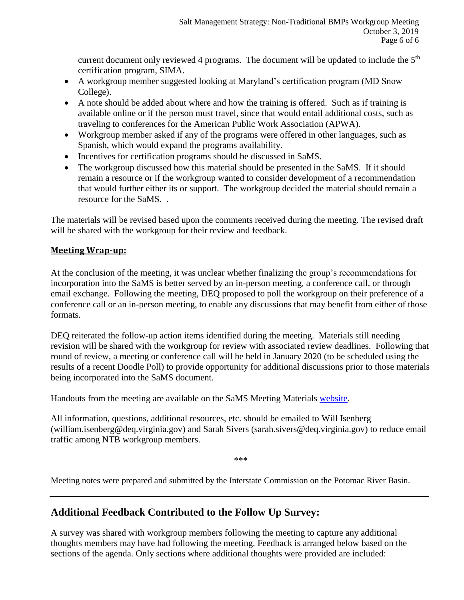current document only reviewed 4 programs. The document will be updated to include the  $5<sup>th</sup>$ certification program, SIMA.

- A workgroup member suggested looking at Maryland's certification program (MD Snow College).
- A note should be added about where and how the training is offered. Such as if training is available online or if the person must travel, since that would entail additional costs, such as traveling to conferences for the American Public Work Association (APWA).
- Workgroup member asked if any of the programs were offered in other languages, such as Spanish, which would expand the programs availability.
- Incentives for certification programs should be discussed in SaMS.
- The workgroup discussed how this material should be presented in the SaMS. If it should remain a resource or if the workgroup wanted to consider development of a recommendation that would further either its or support. The workgroup decided the material should remain a resource for the SaMS. .

The materials will be revised based upon the comments received during the meeting. The revised draft will be shared with the workgroup for their review and feedback.

# **Meeting Wrap-up:**

At the conclusion of the meeting, it was unclear whether finalizing the group's recommendations for incorporation into the SaMS is better served by an in-person meeting, a conference call, or through email exchange. Following the meeting, DEQ proposed to poll the workgroup on their preference of a conference call or an in-person meeting, to enable any discussions that may benefit from either of those formats.

DEQ reiterated the follow-up action items identified during the meeting. Materials still needing revision will be shared with the workgroup for review with associated review deadlines. Following that round of review, a meeting or conference call will be held in January 2020 (to be scheduled using the results of a recent Doodle Poll) to provide opportunity for additional discussions prior to those materials being incorporated into the SaMS document.

Handouts from the meeting are available on the SaMS Meeting Materials [website.](https://www.deq.virginia.gov/SaMS/MeetingMaterials.aspx)

All information, questions, additional resources, etc. should be emailed to Will Isenberg (william.isenberg@deq.virginia.gov) and Sarah Sivers (sarah.sivers@deq.virginia.gov) to reduce email traffic among NTB workgroup members.

\*\*\*

Meeting notes were prepared and submitted by the Interstate Commission on the Potomac River Basin.

# **Additional Feedback Contributed to the Follow Up Survey:**

A survey was shared with workgroup members following the meeting to capture any additional thoughts members may have had following the meeting. Feedback is arranged below based on the sections of the agenda. Only sections where additional thoughts were provided are included: